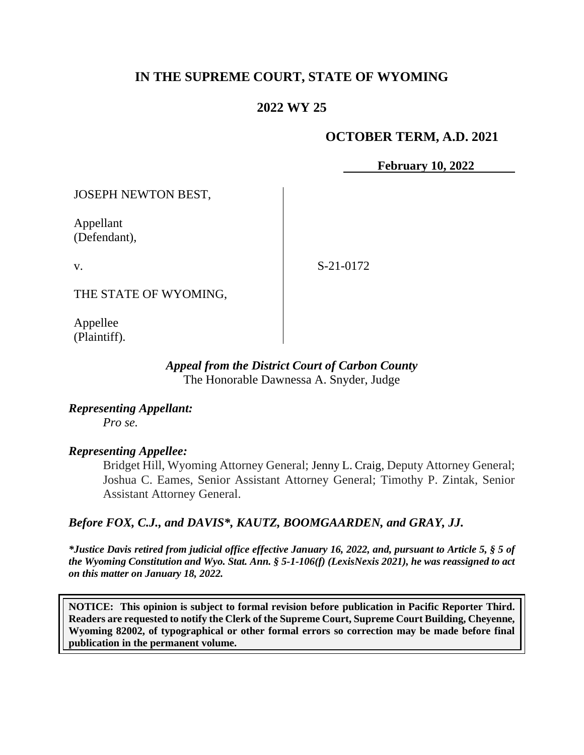# **IN THE SUPREME COURT, STATE OF WYOMING**

# **2022 WY 25**

# **OCTOBER TERM, A.D. 2021**

**February 10, 2022**

JOSEPH NEWTON BEST,

Appellant (Defendant),

v.

S-21-0172

THE STATE OF WYOMING,

Appellee (Plaintiff).

## *Appeal from the District Court of Carbon County* The Honorable Dawnessa A. Snyder, Judge

*Representing Appellant: Pro se.*

## *Representing Appellee:*

Bridget Hill, Wyoming Attorney General; Jenny L. Craig, Deputy Attorney General; Joshua C. Eames, Senior Assistant Attorney General; Timothy P. Zintak, Senior Assistant Attorney General.

## *Before FOX, C.J., and DAVIS\*, KAUTZ, BOOMGAARDEN, and GRAY, JJ.*

*\*Justice Davis retired from judicial office effective January 16, 2022, and, pursuant to Article 5, § 5 of the Wyoming Constitution and Wyo. Stat. Ann. § 5-1-106(f) (LexisNexis 2021), he was reassigned to act on this matter on January 18, 2022.*

**NOTICE: This opinion is subject to formal revision before publication in Pacific Reporter Third. Readers are requested to notify the Clerk of the Supreme Court, Supreme Court Building, Cheyenne, Wyoming 82002, of typographical or other formal errors so correction may be made before final publication in the permanent volume.**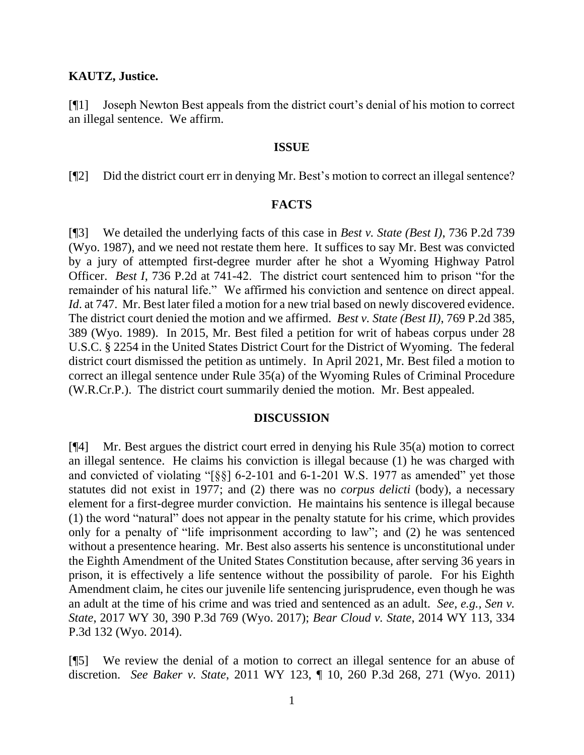#### **KAUTZ, Justice.**

[¶1] Joseph Newton Best appeals from the district court's denial of his motion to correct an illegal sentence. We affirm.

#### **ISSUE**

[¶2] Did the district court err in denying Mr. Best's motion to correct an illegal sentence?

### **FACTS**

[¶3] We detailed the underlying facts of this case in *Best v. State (Best I)*, 736 P.2d 739 (Wyo. 1987), and we need not restate them here. It suffices to say Mr. Best was convicted by a jury of attempted first-degree murder after he shot a Wyoming Highway Patrol Officer. *Best I*, 736 P.2d at 741-42. The district court sentenced him to prison "for the remainder of his natural life." We affirmed his conviction and sentence on direct appeal. *Id.* at 747. Mr. Best later filed a motion for a new trial based on newly discovered evidence. The district court denied the motion and we affirmed. *Best v. State (Best II)*, 769 P.2d 385, 389 (Wyo. 1989). In 2015, Mr. Best filed a petition for writ of habeas corpus under 28 U.S.C. § 2254 in the United States District Court for the District of Wyoming. The federal district court dismissed the petition as untimely. In April 2021, Mr. Best filed a motion to correct an illegal sentence under Rule 35(a) of the Wyoming Rules of Criminal Procedure (W.R.Cr.P.). The district court summarily denied the motion. Mr. Best appealed.

### **DISCUSSION**

[¶4] Mr. Best argues the district court erred in denying his Rule 35(a) motion to correct an illegal sentence. He claims his conviction is illegal because (1) he was charged with and convicted of violating "[§§] 6-2-101 and 6-1-201 W.S. 1977 as amended" yet those statutes did not exist in 1977; and (2) there was no *corpus delicti* (body), a necessary element for a first-degree murder conviction. He maintains his sentence is illegal because (1) the word "natural" does not appear in the penalty statute for his crime, which provides only for a penalty of "life imprisonment according to law"; and (2) he was sentenced without a presentence hearing. Mr. Best also asserts his sentence is unconstitutional under the Eighth Amendment of the United States Constitution because, after serving 36 years in prison, it is effectively a life sentence without the possibility of parole. For his Eighth Amendment claim, he cites our juvenile life sentencing jurisprudence, even though he was an adult at the time of his crime and was tried and sentenced as an adult. *See, e.g., Sen v. State*, 2017 WY 30, 390 P.3d 769 (Wyo. 2017); *Bear Cloud v. State*, 2014 WY 113, 334 P.3d 132 (Wyo. 2014).

[¶5] We review the denial of a motion to correct an illegal sentence for an abuse of discretion. *See Baker v. State*, 2011 WY 123, ¶ 10, 260 P.3d 268, 271 (Wyo. 2011)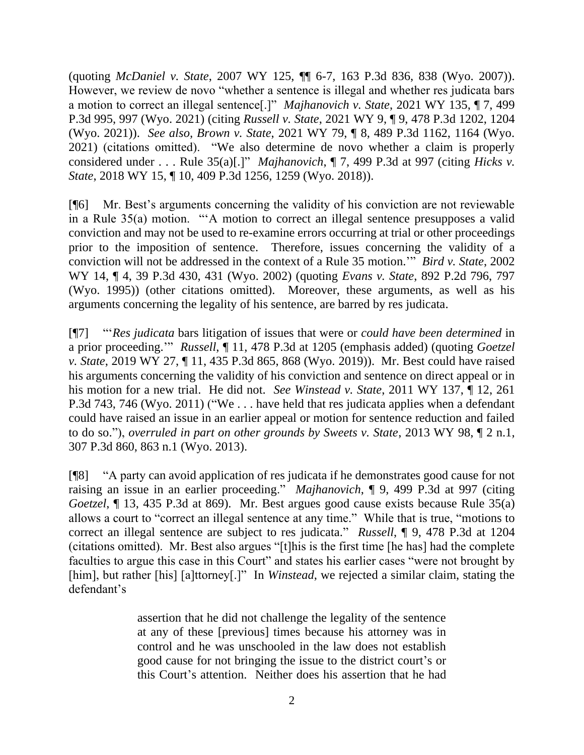(quoting *McDaniel v. State*, 2007 WY 125, ¶¶ 6-7, 163 P.3d 836, 838 (Wyo. 2007)). However, we review de novo "whether a sentence is illegal and whether res judicata bars a motion to correct an illegal sentence[.]" *Majhanovich v. State*, 2021 WY 135, ¶ 7, 499 P.3d 995, 997 (Wyo. 2021) (citing *Russell v. State*, 2021 WY 9, ¶ 9, 478 P.3d 1202, 1204 (Wyo. 2021)). *See also, Brown v. State*, 2021 WY 79, ¶ 8, 489 P.3d 1162, 1164 (Wyo. 2021) (citations omitted). "We also determine de novo whether a claim is properly considered under . . . Rule 35(a)[.]" *Majhanovich*, ¶ 7, 499 P.3d at 997 (citing *Hicks v. State*, 2018 WY 15, ¶ 10, 409 P.3d 1256, 1259 (Wyo. 2018)).

[¶6] Mr. Best's arguments concerning the validity of his conviction are not reviewable in a Rule 35(a) motion. "'A motion to correct an illegal sentence presupposes a valid conviction and may not be used to re-examine errors occurring at trial or other proceedings prior to the imposition of sentence. Therefore, issues concerning the validity of a conviction will not be addressed in the context of a Rule 35 motion.'" *Bird v. State*, 2002 WY 14, ¶ 4, 39 P.3d 430, 431 (Wyo. 2002) (quoting *Evans v. State*, 892 P.2d 796, 797 (Wyo. 1995)) (other citations omitted). Moreover, these arguments, as well as his arguments concerning the legality of his sentence, are barred by res judicata.

[¶7] "'*Res judicata* bars litigation of issues that were or *could have been determined* in a prior proceeding.'" *Russell*, ¶ 11, 478 P.3d at 1205 (emphasis added) (quoting *Goetzel v. State*, 2019 WY 27, ¶ 11, 435 P.3d 865, 868 (Wyo. 2019)). Mr. Best could have raised his arguments concerning the validity of his conviction and sentence on direct appeal or in his motion for a new trial. He did not. *See Winstead v. State*, 2011 WY 137, ¶ 12, 261 P.3d 743, 746 (Wyo. 2011) ("We . . . have held that res judicata applies when a defendant could have raised an issue in an earlier appeal or motion for sentence reduction and failed to do so."), *overruled in part on other grounds by Sweets v. State*, 2013 WY 98, ¶ 2 n.1, 307 P.3d 860, 863 n.1 (Wyo. 2013).

[¶8] "A party can avoid application of res judicata if he demonstrates good cause for not raising an issue in an earlier proceeding." *Majhanovich*, ¶ 9, 499 P.3d at 997 (citing *Goetzel*, ¶ 13, 435 P.3d at 869). Mr. Best argues good cause exists because Rule 35(a) allows a court to "correct an illegal sentence at any time." While that is true, "motions to correct an illegal sentence are subject to res judicata." *Russell*, ¶ 9, 478 P.3d at 1204 (citations omitted). Mr. Best also argues "[t]his is the first time [he has] had the complete faculties to argue this case in this Court" and states his earlier cases "were not brought by [him], but rather [his] [a]ttorney[.]" In *Winstead*, we rejected a similar claim, stating the defendant's

> assertion that he did not challenge the legality of the sentence at any of these [previous] times because his attorney was in control and he was unschooled in the law does not establish good cause for not bringing the issue to the district court's or this Court's attention. Neither does his assertion that he had